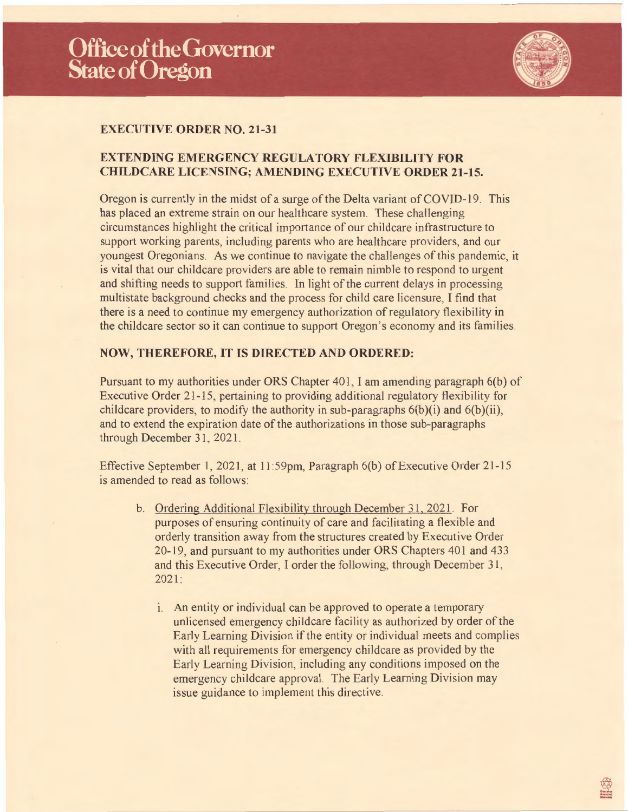

## **EXECUTIVE ORDER NO. 21-31**

## **EXTENDING EMERGENCY REGULATORY FLEXIBILITY FOR CHILDCARE LICENSING; AMENDING EXECUTIVE ORDER 21-15.**

Oregon is currently in the midst of a surge of the Delta variant of COVID-19. This has placed an extreme strain on our healthcare system. These challenging circumstances highlight the critical importance of our childcare infrastructure to support working parents, including parents who are healthcare providers, and our youngest Oregonians. As we continue to navigate the challenges of this pandemic, it is vital that our childcare providers are able to remain nimble to respond to urgent and shifting needs to support families. ln light of the current delays in processing multistate background checks and the process for child care licensure, I find that there is a need to continue my emergency authorization of regulatory flexibility in the childcare sector so it can continue to support Oregon 's economy and its families

## **NOW, THEREFORE, IT IS DIRECTED AND ORDERED:**

Pursuant to my authorities under ORS Chapter 401, I am amending paragraph 6(b) of Executive Order 21-15, pertaining to providing additional regulatory flexibility for childcare providers, to modify the authority in sub-paragraphs  $6(b)(i)$  and  $6(b)(ii)$ , and to extend the expiration date of the authorizations in those sub-paragraphs through December 31, 2021.

Effective September 1, 2021, at  $11:59$ pm, Paragraph 6(b) of Executive Order 21-15 is amended to read as follows:

- b. Ordering Additional Flexibility through December 31, 2021. For purposes of ensuring continuity of care and facilitating a flexible and orderly transition away from the structures created by Executive Order 20-19, and pursuant to my authorities under ORS Chapters 401 and 433 and this Executive Order, I order the following, through December 31 , 2021:
	- 1. An entity or individual can be approved to operate a temporary unlicensed emergency childcare facility as authorized by order of the Early Learning Division if the entity or individual meets and complies with all requirements for emergency childcare as provided by the Early Learning Division, including any conditions imposed on the emergency childcare approval. The Early Learning Division may issue guidance to implement this directive.